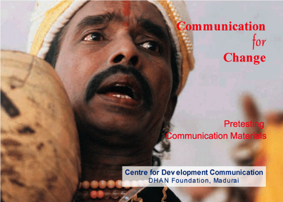# **Communication** for Change

# **Pretesting Communication Materials**

**Centre for Development Communication DHAN Foundation, Madurai**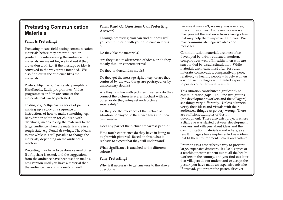# **Pretesting Communication Materials**

#### **What Is Pretesting?**

Pretesting means field testing communication materials before they are produced or printed. By interviewing the audience, the materials are meant for, we find out if they are understood, i.e., if the message or idea is conveyed in the way it was intended. We also find out if the audience likes the materials

Posters, Flipcharts, Flashcards, pamphlets, Handbooks, Radio programmes, Video programmes or Film are some of the materials that can be pretested.

Testing, e.g. A flipchart (a series of pictures making up a story or a sequence of instructions of how to make something, eg. Rehydration solution for children with diarrhoea) means taking the materials to the target audience when the materials are in a rough state, e.g. Pencil drawings. The idea is to test while it is still possible to change the materials, depending on the audience's reaction.

Pretesting may have to be done several times. If a flipchart is tested, and the suggestions from the audience have been used to make a new version until you have a material that the audience like and understand well.

#### **What Kind Of Ouestions Can Pretesting** Answer?

Through pretesting, you can find out how well vou communicate with your audience in terms  $\alpha$ f

Do they like the materials?

Are they used to abstraction of ideas, or do they mostly think in concrete terms?

Do they understand symbols?

Do they get the message right away, or are they confused by the way things are portrayed, or by unnecessary details?

Are they familiar with pictures in series - do they connect the pictures in e.g. a flipchart with each other, or do they interpret each picture separeately?

Do they see the relevance of the picture of situation portrayed to their own lives and their own needs?

Does any part of the picture embarrass people?

How much experience do they have in being to aught with pictures? Based on this, what is realistic to expect that they will understand?

What significance is attached to the different colours?

#### **Why Pretesting?**

Why is it necessary to get answers to the above questions?

Because if we don't, we may waste money, time and resources. And even worse - we may prevent the audience from sharing ideas that may help them improve their lives. We may communicate negative ideas and messages.

Communication materials are most often developed by urban, educated, modern, comparatives well-off, healthy men who are surrounded by visual stimulation. While materials are meant most often for rural. illiterate, conservative, comparatively poor, relatively unhealthy people - largely women - who live in villages with limited exposure to posters or other visual stimuli.

This situation contributes significantly to communication gaps – i.e. – the two groups (the development workers and the villagers) see things very differently. Unless planners verify their ideas and visuals with their audiences, things can go very wrong. There are sufficient examples of this in development. There also exist projects where a dialogue was started between development workers and villagers about ideas and the communication materials - and where, as a result, villagers have implemented new ideas that fit their environment, beliefs and culture.

Pretesting is a cost effective way to prevent large, expensive disasters. If 10,000 copies of a teaching poster are sent out to all the health workers in the country, and you find out later that villagers do not understand or accept the poster, you have made an expensive mistake. If, instead, you pretest the poster, discover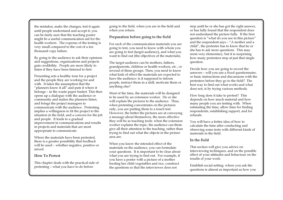the mistakes, make the changes, test it again until people understand and accept it, you can be fairly sure that the teaching poster might be a useful communication aid for the health workers. The expense of the testing is very small compared to the cost of a ten thousand copy failure.

By going to the audience to ask their opinions and suggestions, organizations and projects gain credibility. People are more likely to listen if they have been listened to first.

Presenting sets a healthy tone for a project and the people they are working for and with. It takes the assumption that the "planners know it all" and puts it where it belongs - in the waste paper basket. This then opens up a dialogue with the audience or community and makes the planners listen, and brings the project managers to communicate with the audience. Pretesting implies a willingness to fit the project to the situation in the field, and a concern for the job and people. It leads to a gradual improvement in communications and results in projects and materials that are most appropriate to communicate.

Where the materials have been pretested. there is a greater possibility that feedback will be used - whether negative, positive or mixed.

#### **How To Pretest**

This chapter deals with the practical side of pretesting - what you have to do before

going to the field, when you are in the field and when you return.

#### Preparation before going to the field

For each of the communication materials you are going to test, you need to know with whom you are going to test (target audience), and what you want to find out (the objectives of the materials).

The target audience can be mothers, fathers, grandparents, children or health workers, etc., or several of these groups. Then, you need to know what kink of effect the materials are expected to have the audience: is it supposed to inform people, instruct them in a skill, motivate them or anything else?

Most of the time, the materials will be designed to be used by an extension worker. He or she will explain the pictures to the audience. Thus, when pretesting concentrates on the pictures only, you are putting them to a touch test. However, the better the pictures are at conveying a message about themselves, the more effective they will be as teaching tools: when the extension worker explains the topic, the audience can them give all their attention to the teaching, rather than trying to find out what the objects in the picture area are.

When you know the intended effect of the materials on the audience, you can formulate your questions. It is important to be clear about what you are trying to find out. For example, if you have a poster with a picture of a mother feeding her child vegetables and rice, construct the questions so that the interviewer does not

stop until he or she has got the right answer, or has fully found that the respondent does not understand the picture fully. If the first question is "what do you see in this picture" and the respondent says - "A mother and a child", the pretester has to know that he or she has to ask more questions. This may seem very elementary, but it is surprising how many pretesters stop at just that single question.

Decide how you are going to record the answers - will you use a fixed questionnaire, or basic instructions and discussions with the pretesters before they go to the field? The best way to find out what works and what does not, is by trying various methods.

How long does it take to pretest? This depends on how much material and how many people you are testing with. When estimating the time, allow time for finding respondents, establishing rapport, and for refusals.

You will have a better idea of how to calculate the time after conducting and observing some tests with different kinds of materials in the field.

#### In the field

This section will give you advice on interviewing techniques, and on the possible effect of your attitudes and behaviour on the results of your work.

Establish social setting: where you ask the questions is almost as important as how you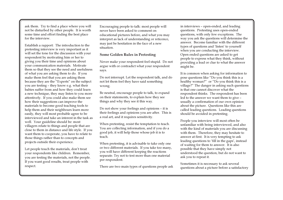ask them. Try to find a place where you will not be disturbed by other people. It is worth some time and effort finding the best place for the interview.

Establish a rapport: The introduction to the pretesting interview is very important as it will set the tone for the discussion with your respondent by motivating him or her to giving you their time and opinions about vour communication materials. Motivate them so that they see the need and usefulness of what you are asking them to do. If you make them feel that you are asking them because they are the "Experts" on the subject you are testing - they know e.g. what their babies suffer from and how they could learn a new technique, they may listen to you more attentively. If you could also make them see how their suggestions can improve the materials to become good teaching tools to help them and their neighbours learn more easily, they will most probable agree to be interviewed and take an interest in the task as well. Your guideline should be: most villagers relate to things and people that are close to them in distance and life style. If you want them to cooperate, you have to relate to those things rather than to concepts and projects outside their experience.

Let people touch the materials, don't treat your respondents like children. Remember, you are testing the materials, not the people. If you want good results, treat people with respect.

Encouraging people to talk: most people will never have been asked to comment on educational pictures before, and what you may interpret as lack of understanding or reticence, may just be hesitation in the face of a new situation.

#### **Some Golden Rules in Pretesting**

Never make your respondent feel stupid. Do not argue with or contradict what your respondent says.

Do not interrupt. Let the respondent talk, and do not let them feel they have said something wrong.

Be neutral, encourage people to talk, to expand on their statements, to explain how they see things and why they see it this way.

Do not show your feelings and opinions – it is their feelings and opinions you are after. This is a real art, and it requires sensitivity.

When pretesting, resist the temptation to teach. You are collecting information, and if you do a good job, it will help those whose job it is to teach

When pretesting, it is advisable to take only one or two different materials. If you take too many, you will have different keeping the reactions separate. Try not to test more than one material per respondent.

There are two main types of questions people ask

in interviews - open-ended, and leading questions. Pretesting uses open-ended questions, with only few exceptions. The way you ask the questions will determine the answer. Become familiar with the different types of questions and 'listen' to yourself when you are conducting the interview. Open ended questions are asked to get people to express what they think, without providing a lead or clue to what the answer might be.

It is common when asking for information to pose questions like "Do you think this is a healthy woman?" or "Do you think this is a village?" The danger in asking such questions is that one cannot discover what the respondent thinks. The respondent has been led to the answer we want them to give usually a confirmation of our own opinion about the picture. Ouestions like this are called leading questions. Leading questions should be avoided in pretesting.

People you interview will most often be unfamiliar with being interviewed, and also with the kind of materials you are discussing with them. Therefore, they may hesitate to answer at first. It is very tempting to ask leading questions to 'fill in the gaps', instead of waiting for them to answer. It is also possible that they have simply not understood the question, but do not want to ask you to repeat it.

Sometimes it is necessary to ask several questions about a picture before a satisfactory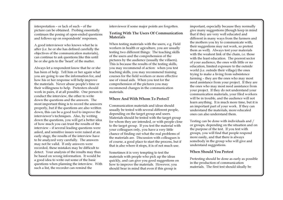interpretation - or lack of such - of the picture can be obtained. Probing essentially continues the posing of open-ended questions and follows up on respondents' responses.

A good interviewer who knows what he is after (i.e. he or she has defined carefully the objectives of the communication materials), can continue to ask questions like this until he or she gets to the 'heart' of the matter.

Always let a respondent know that he or she has been of help. Tell him or her again what you are going to use the information for, and how his or her response will help improve the materials. Never abuse people's time or their willingness to help. Pretesters should work in pairs, if at all possible. One person to conduct the interview, the other to write down the questions and the answers. The most important thing is to record the answers properly, but if the questions are also written down, this can be a good tool to improve the interviewer's techniques. Also, by writing down the questions, you will get a better idea of how much you can trust the results of the interview - if several leading questions were asked, and sensitive issues were raised at an early stage, the results of the interview have to be analyzed very carefully. The answers may not be valid. If only answers were recorded, these mistakes may be difficult to detect. Your analysis of the results may thus be based on wrong information. It would be a good idea to write out some of the basic questions when planning the interview. With such a list, the recorder can remind the

interviewer if some major points are forgotten.

#### **Testing With The Users Of Communication Materials**

When testing materials with the users, e.g. Field workers in health or agiculture, you are usually testing two different things: The teaching skills of the users and the comprehension of the pictures by the audience (usually the villaers). This is because the results of the testing skills, you may recommend of action: when you test teaching skills, you may recommend training courses for the field workers or more effective use of visual aids. When you test for the comprehension of the pictures you may recommend changes in the communication materials.

#### **Where And With Whom To PretesT**

Communication materials and ideas should usually be tested with several different people, depending on the target group and users. Materials should be tested with the target group for whom they are intended, or with people close to the target group. If you test the material with your colleagues only, you have a very little chance of finding out what the real problems of the materials are. Discussion with colleagues is of course, a good place to start the process, but if that is also where it stops, it is of not much use.

Sometimes it is very tempting to test the materials with people who pick up the ideas quickly, and can give you good suggestions on how to improve the materials. However, you should bear in mind that even if this group is

important, especially because they normally give many suggestions (though keep in mind that if they are very well educated and different in many ways from the farmers and the mothers you try to communicate with, their suggestions may not work, so pretest them as well). Always test your materials with the weakest link of the chain, i.e. those with the least education. The poorest sector of your audience, the ones with little or no education, limited exposure to the outside world (i.e. outside their village) the ones trying to make a living from subsistence farming - they are the ones who may most need assistance from your project. If they are the ones who may most need assistance from your project. If they do not understand your communication materials, your filed workers will be in trouble, and the audience will not learn anything. It is much more time, but it is an important part of your work. If they can understand the materials, more educated ones can also understand them

Testing can be done with individuals and / or groups, depending on the situation and on the purpose of the test. If you test with groups, you will find that people respond more easily, and that there is always somebody in the group who will give and understand suggestions.

#### **When Should You Pretest**

Pretesting should be done as early as possible in the production of communication materials. The first test should ideally be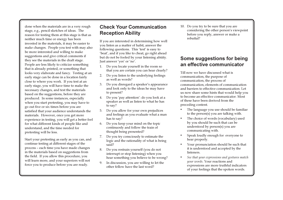done when the materials are in a very rough stage, e.g., pencil sketches of ideas. The reason for testing them at this stage is that as neither much time or energy has been invested in the materials, it may be easier to make changes. People you test with may also be more interested and willing to make suggestions and give critical comments if they see the materials in the draft stage. People are less likely to criticize something that is already printed, or something that looks very elaborate and fancy. Testing at an early stage can be done in a location fairly close to where you work. If you test at an early stage, you will have time to make the necessary changes, and test the materials based on the suggestions, before they are produced. In some instances, especially when you start pretesting, you may have to go out five or six times before you are satisfied that your audience understands the materials. However, once you get more experience in testing, you will get a better feel for what different kinds of people like and understand, and the time needed for pretesting will be less.

Start your pretesting as early as you can, and continue testing at different stages of the process - each time you have made changes in the materials based on suggestions from the field. If you allow this procedure, you will learn more, and your superiors will not force you to produce before you are ready.

## **Check Your Communication Reception Ability**

If you are interested in determining how well you listen as a matter of habit, answer the following questions. This 'test' is easy to 'beat', and if you like to cheat, go right ahead but do not be fooled by your listening ability. Just answer 'yes' or 'no'.

- 1. Do you locate yourself in the room so that you are certain you can hear clearly?
- 2. Do you listen to the underlying feelings as well as words?
- 3. Do you disregard a speaker's appearance and look only to the ideas he may have to present?
- 4. Do you 'pay attention': do you look at a speaker as well as listen to what he has to say?
- 5. Do you allow for your own prejudices and feelings as you evaluate what a man has to say?
- Do you keep your mind on the topic  $6<sub>1</sub>$ continuosly and follow the train of thought being presented?
- 7. Do you try consciously to estimate the logic and the rationality of what is being said?
- 8. Do you restrain yourself (you do not interrupt or stop listening) when you hear something you believe to be wrong?
- 9. In discussion, you are willing to let the other fellow have the last word?

10. Do you try to be sure that you are considering the other person's viewpoint before you reply, answer or make a rebuttal?

## Some suggestions for being an effective communicator

Till now we have discussed what is communication, the purpose of communication, the process of communication, elements of communication and barriers to effective communication. Let us now share some hints that would help you to become an effective communicator Most of these have been derived from the preceding content.

- The language you use should be familiar to the person(s) you are talking with.
- The choice of words (vocabulary) used by you should be such that can be understood by person(s) you are communicating with.
- Speak loudly enough for everyone to hear properly.
- Your pronunciation should be such that it is understood and accepted by the listeners.
- See that your expressions and gestures match *uour words.* Your reactions and expressions are more truthful indicators of your feelings that the spoken words.